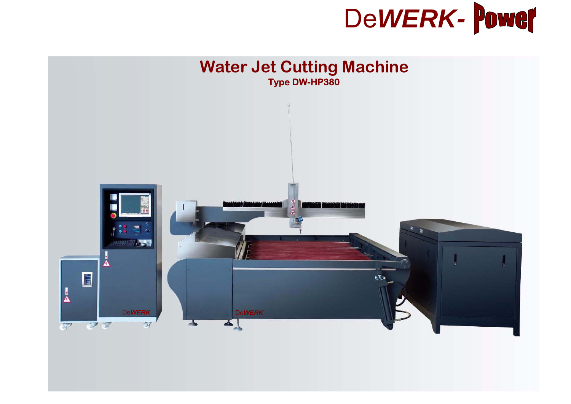

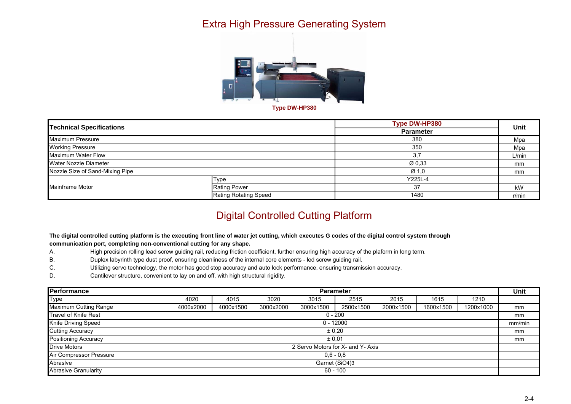## Extra High Pressure Generating System



| <b>Technical Specifications</b> |                              | Type DW-HP380    | Unit  |
|---------------------------------|------------------------------|------------------|-------|
|                                 |                              | <b>Parameter</b> |       |
| <b>Maximum Pressure</b>         |                              | 380              | Mpa   |
| <b>Working Pressure</b>         |                              | 350              | Mpa   |
| Maximum Water Flow              |                              | 3.7              | L/min |
| Water Nozzle Diameter           |                              | Ø0.33            | mm    |
| Nozzle Size of Sand-Mixing Pipe |                              | Ø <sub>1.0</sub> | mm    |
| Mainframe Motor                 | Type                         | Y225L-4          |       |
|                                 | <b>Rating Power</b>          | 37               | kW    |
|                                 | <b>Rating Rotating Speed</b> | 1480             | r/min |

## Digital Controlled Cutting Platform

#### **The digital controlled cutting platform is the executing front line of water jet cutting, which executes G codes of the digital control system through communication port, completing non-conventional cutting for any shape.**

- A. High precision rolling lead screw guiding rail, reducing friction coefficient, further ensuring high accuracy of the plaform in long term.
- B. Duplex labyrinth type dust proof, ensuring cleanliness of the internal core elements led screw guiding rail.
- C. Utilizing servo technology, the motor has good stop accuracy and auto lock performance, ensuring transmission accuracy.
- D. Cantilever structure, convenient to lay on and off, with high structural rigidity.

| <b>Performance</b>           | <b>Parameter</b>                  |           |           |           |           |           |           |           |        |
|------------------------------|-----------------------------------|-----------|-----------|-----------|-----------|-----------|-----------|-----------|--------|
| <b>Type</b>                  | 4020                              | 4015      | 3020      | 3015      | 2515      | 2015      | 1615      | 1210      |        |
| <b>Maximum Cutting Range</b> | 4000x2000                         | 4000x1500 | 3000x2000 | 3000x1500 | 2500x1500 | 2000x1500 | 1600x1500 | 1200x1000 | mm     |
| <b>Travel of Knife Rest</b>  | $0 - 200$                         |           |           |           |           |           |           |           | mm     |
| Knife Driving Speed          | $0 - 12000$                       |           |           |           |           |           |           |           | mm/min |
| <b>Cutting Accuracy</b>      | ± 0.20                            |           |           |           |           |           |           |           | mm     |
| <b>Positioning Accuracy</b>  | ± 0.01                            |           |           |           |           |           |           |           |        |
| <b>Drive Motors</b>          | 2 Servo Motors for X- and Y- Axis |           |           |           |           |           |           |           |        |
| Air Compressor Pressure      | $0.6 - 0.8$                       |           |           |           |           |           |           |           |        |
| Abrasive                     | Garnet (SiO4)3                    |           |           |           |           |           |           |           |        |
| <b>Abrasive Granularity</b>  | $60 - 100$                        |           |           |           |           |           |           |           |        |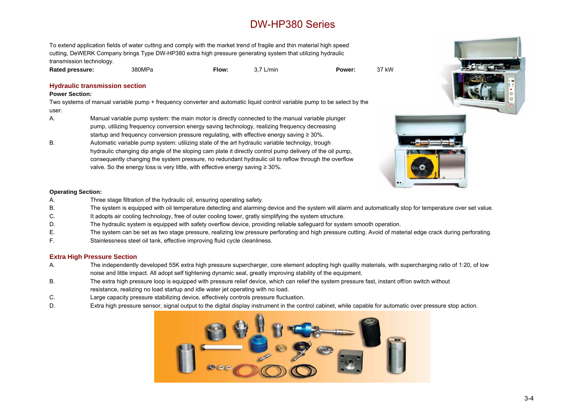# DW-HP380 Series

To extend application fields of water cutting and comply with the market trend of fragile and thin material high speed cutting, DeWERK Company brings Type DW-HP380 extra high pressure generating system that utilizing hydraulic transmission technology.

**Rated pressure:** 380MPa **Flow:** 3.7 L/min **Power:** 37 kW



#### **Hydraulic transmission sectio n**

#### **Power Section:**

Two systems of manual variable pump + frequency converter and automatic liquid control variable pump to be select by the user.

- A. Manual variable pump system: the main motor is directly connected to the manual variable plunger pump, utilizing frequency conversion energy saving technology, realizing frequency decreasing startup and frequency conversion pressure regulating, with effective energy saving  $\geq 30\%$ .
- B. Automatic variable pump system: utilizing state of the art hydraulic variable technolgy, trough hydraulic changing dip angle of the sloping cam plate it directly control pump delivery of the oil pump, consequently changing the system pressure, no redundant hydraulic oil to reflow through the overflow valve. So the energy loss is very little, with effective energy saving  $\geq 30\%$ .



#### **Operating Section:**

- A. Three stage filtration of the hydraulic oil, ensuring operating safety.
- B. The system is equipped with oil temperature detecting and alarming device and the system will alarm and automatically stop for temperature over set value.
- C. It adopts air cooling technology, free of outer cooling tower, gratly simplifying the system structure.
- D. The hydraulic system is equipped with safety overflow device, providing reliable safeguard for system smooth operation.
- E. The system can be set as two stage pressure, realizing low pressure perforating and high pressure cutting. Avoid of material edge crack during perforating.
- F. Stainlessness steel oil tank, effective improving fluid cycle cleanliness.

### **Extra High Pressure Section**

- A. The independently developed 55K extra high pressure supercharger, core element adopting high quality materials, with supercharging ratio of 1:20, of low noise and little impact. All adopt self tightening dynamic seal, greatly improving stability of the equipment.
- B. The extra high pressure loop is equipped with pressure relief device, which can relief the system pressure fast, instant off/on switch without resistance, realizing no load startup and idle water jet operating with no load.
- C. Large capacity pressure stabilizing device, effectively controls pressure fluctuation.
- D. Extra high pressure sensor, signal output to the digital display instrument in the control cabinet, while capable for automatic over pressure stop action.